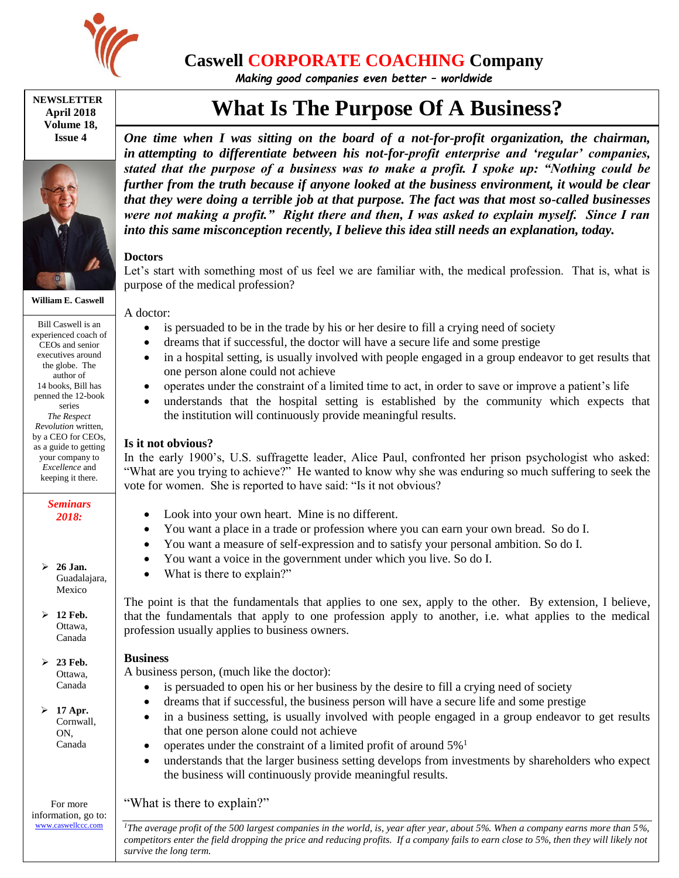

## **Caswell CORPORATE COACHING Company**

*Making good companies even better – worldwide*

**NEWSLETTER April 2018 Volume 18, Issue 4**



**William E. Caswell**

Bill Caswell is an experienced coach of CEOs and senior executives around the globe. The author of 14 books, Bill has penned the 12-book series *The Respect Revolution* written, by a CEO for CEOs, as a guide to getting your company to *Excellence* and keeping it there.

> *Seminars 2018:*

 **26 Jan.** Guadalajara, Mexico

 **12 Feb.** Ottawa, Canada

 $\geq 23$  Feb. Ottawa, Canada

 **17 Apr.** Cornwall, ON, Canada

For more information, go to: [www.caswellccc.com](http://www.caswellccc.com/)

# **What Is The Purpose Of A Business?**

*One time when I was sitting on the board of a not-for-profit organization, the chairman, in attempting to differentiate between his not-for-profit enterprise and 'regular' companies, stated that the purpose of a business was to make a profit. I spoke up: "Nothing could be further from the truth because if anyone looked at the business environment, it would be clear that they were doing a terrible job at that purpose. The fact was that most so-called businesses were not making a profit." Right there and then, I was asked to explain myself. Since I ran into this same misconception recently, I believe this idea still needs an explanation, today.*

### **Doctors**

Let's start with something most of us feel we are familiar with, the medical profession. That is, what is purpose of the medical profession?

A doctor:

- is persuaded to be in the trade by his or her desire to fill a crying need of society
- dreams that if successful, the doctor will have a secure life and some prestige
- in a hospital setting, is usually involved with people engaged in a group endeavor to get results that one person alone could not achieve
- operates under the constraint of a limited time to act, in order to save or improve a patient's life
- understands that the hospital setting is established by the community which expects that the institution will continuously provide meaningful results.

#### **Is it not obvious?**

In the early 1900's, U.S. suffragette leader, Alice Paul, confronted her prison psychologist who asked: "What are you trying to achieve?" He wanted to know why she was enduring so much suffering to seek the vote for women. She is reported to have said: "Is it not obvious?

- Look into your own heart. Mine is no different.
- You want a place in a trade or profession where you can earn your own bread. So do I.
- You want a measure of self-expression and to satisfy your personal ambition. So do I.
- You want a voice in the government under which you live. So do I.
- What is there to explain?"

The point is that the fundamentals that applies to one sex, apply to the other. By extension, I believe, that the fundamentals that apply to one profession apply to another, i.e. what applies to the medical profession usually applies to business owners.

#### **Business**

A business person, (much like the doctor):

- is persuaded to open his or her business by the desire to fill a crying need of society
- dreams that if successful, the business person will have a secure life and some prestige
- in a business setting, is usually involved with people engaged in a group endeavor to get results that one person alone could not achieve
	- operates under the constraint of a limited profit of around 5%<sup>1</sup>
- understands that the larger business setting develops from investments by shareholders who expect the business will continuously provide meaningful results.

"What is there to explain?"

*<sup>1</sup>The average profit of the 500 largest companies in the world, is, year after year, about 5%. When a company earns more than 5%, competitors enter the field dropping the price and reducing profits. If a company fails to earn close to 5%, then they will likely not survive the long term.*